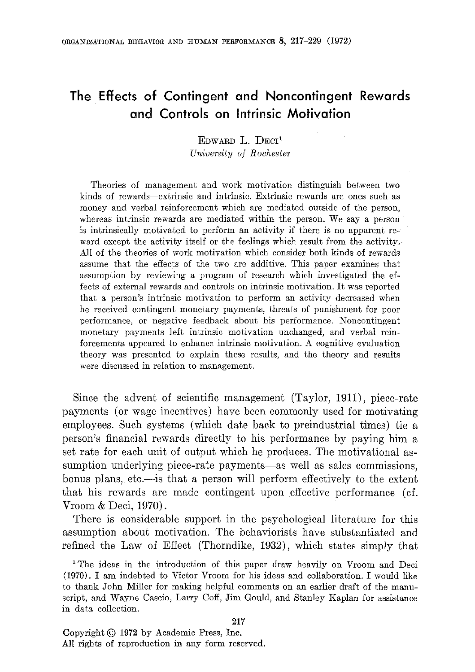## **The Effects of Contingent and Noncontingent Rewards and Controls on Intrinsic Motivation**

# EDWARD L. DECI<sup>1</sup>

*University o/ Rochester* 

Theories of management and work motivation distinguish between two kinds of rewards--extrinsic and intrinsic. Extrinsic rewards are ones such as money and verbal reinforcement which are mediated outside of the person, whereas intrinsic rewards are mediated within the person. We say a person is intrinsically motivated to perform an activity if there is no apparent reward except the activity itself or the feelings which result from the activity. All of the theories of work motivation which consider both kinds of rewards assume that the effects of the two are additive. This paper examines that assumption by reviewing a program of research which investigated the effects of external rewards and controls on intrinsic motivation. It was reported that a person's intrinsic motivation to perform an activity decreased when he received contingent monetary payments, threats of punishment for poor performance, or negative feedback about his performance. Noncontingent monetary payments left intrinsic motivation unchanged, and verbal reinforcements appeared to enhance intrinsic motivation. A cognitive evaluation theory was presented to explain these results, and the theory and results were discussed in relation to management.

Since the advent of scientific management (Taylor, 1911), piece-rate payments (or wage incentives) have been commonly used for motivating employees. Such systems (which date back to preindustrial times) tie a person's financial rewards directly to his performance by paying him a set rate for each unit of output which he produces. The motivational assumption underlying piece-rate payments—as well as sales commissions, bonus plans, etc.--is that a person will perform effectively to the extent that his rewards are made contingent upon effective performance (cf. Vroom & Deci, 1970).

There is considerable support in the psychological literature for this assumption about motivation. The behaviorists have substantiated and refined the Law of Effect (Thorndike, 1932), which states simply that

1 The ideas in the introduction of this paper draw heavily on Vroom and Deci (1970). I am indebted to Victor Vroom for his ideas and collaboration. I would like to thank John Miller for making helpful comments on an earlier draft of the manuscript, and Wayne Caseio, Larry Coff, Jim Gould, and Stanley Kaplan for assistance in data collection.

Copyright © 1972 by Academic Press, Inc. All rights of reproduction in any form reserved.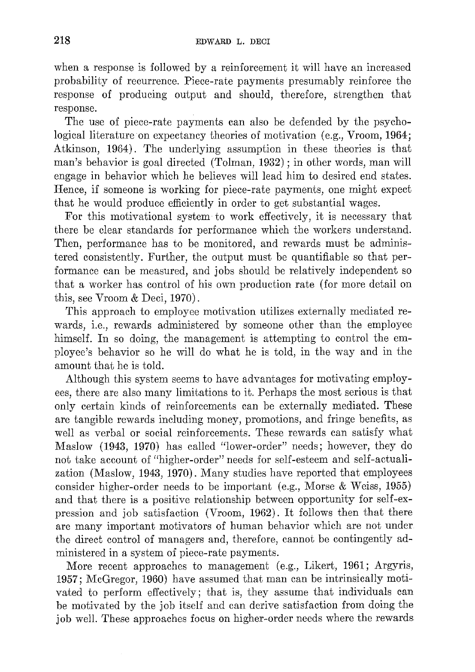when a response is followed by a reinforcement it will have an increased probability of recurrence. Piece-rate payments presumably reinforce the response of producing output and should, therefore, strengthen that response.

The use of piece-rate payments can also be defended by the psychological literature on expectancy theories of motivation (e.g., Vroom, 1964; Atkinson, 1964). The underlying assumption in these theories is that man's behavior is goal directed (Tolman, 1932) ; in other words, man will engage in behavior which he believes will lead him to desired end states. Hence, if someone is working for piece-rate payments, one might expect that he would produce efficiently in order to get substantial wages.

For this motivational system to work effectively, it is necessary that there be clear standards for performance which the workers understand. Then, performance has to be monitored, and rewards must be administered consistently. Further, the output must be quantifiable so that performance can be measured, and jobs should be relatively independent so that a worker has control of his own production rate (for more detail on this, see Vroom & Deci, 1970).

This approach to employee motivation utilizes externally mediated rewards, i.e., rewards administered by someone other than the employee himself. In so doing, the management is attempting to control the employee's behavior so he will do what he is told, in the way and in the amount that he is told.

Although this system seems to have advantages for motivating employees, there are also many limitations to it. Perhaps the most serious is that only certain kinds of reinforcements can be externally mediated. These are tangible rewards including money, promotions, and fringe benefits, as well as verbal or social reinforcements. These rewards can satisfy what Maslow (1943, 1970) has called "lower-order" needs; however, they do not take account of "higher-order" needs for self-esteem and self-actualization (Maslow, 1943, 1970). Many studies have reported that employees consider higher-order needs to be important (e.g., Morse & Weiss, 1955) and that there is a positive relationship between opportunity for self-expression and job satisfaction (Vroom, 1962). It follows then that there are many important motivators of human behavior which are not under the direct control of managers and, therefore, cannot be contingently administered in a system of piece-rate payments.

More recent approaches to management (e.g., Likert, 1961; Argyris, 1957; McGregor, 1960) have assumed that man can be intrinsically motivated to perform effectively; that is, they assume that individuals can be motivated by the job itself and can derive satisfaction from doing the job well. These approaches focus on higher-order needs where the rewards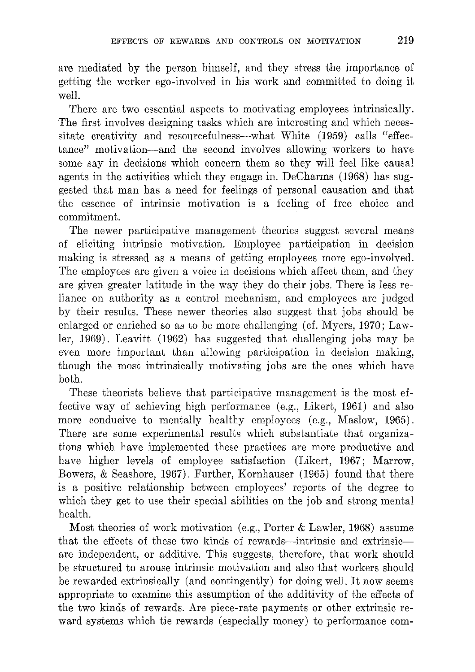are mediated by the person himself, and they stress the importance of getting the worker ego-involved in his work and committed to doing it well.

There are two essential aspects to motivating employees intrinsically. The first involves designing tasks which are interesting and which necessitate creativity and resourcefulness—what White (1959) calls "effectance" motivation--and the second involves allowing workers to have some say in decisions which concern them so they will feel like causal agents in the activities which they engage in. DeOharms (1968) has suggested that man has a need for feelings of personal causation and that the essence of intrinsic motivation is a feeling of free choice and commitment.

The newer participative management theories suggest several means of eliciting intrinsic motivation. Employee participation in decision making is stressed as a means of getting employees more ego-involved. The employees are given a voice in decisions which affect them, and they are given greater latitude in the way they do their jobs. There is less reliance on authority as a control mechanism, and employees are judged by their results. These newer theories also suggest that jobs should be enlarged or enriched so as to be more challenging (cf. Myers, 1970; Lawler, 1969). Leavitt (1962) has suggested that challenging jobs may be even more important than allowing participation in decision making, though the most intrinsically motivating jobs are the ones which have both.

These theorists believe that participative management is the most elfeetive way of achieving high performance (e.g., Likert, 1961) and also more conducive to mentally healthy employees (e.g., Maslow, 1965). There are some experimental results which substantiate that organizations which have implemented these practices are more productive and have higher levels of employee satisfaction (Likert, 1967; Marrow, Bowers, & Seashore, 1967). Further, Kornhauser (1965) found that there is a positive relationship between employees' reports of the degree to which they get to use their special abilities on the job and strong mental health.

Most theories of work motivation (e.g., Porter  $\&$  Lawler, 1968) assume that the effects of these two kinds of rewards--intrinsic and extrinsic- are independent, or additive. This suggests, therefore, that work should be structured to arouse intrinsic motivation and also that workers should be rewarded extrinsically (and contingently) for doing well. It now seems appropriate to examine this assumption of the additivity of the effects of the two kinds of rewards. Are piece-rate payments or other extrinsic reward systems which tie rewards (especially money) to performance com-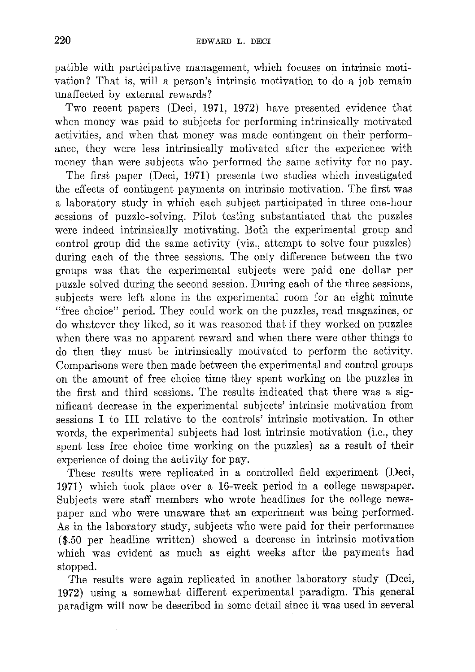patible with participative management, which focuses on intrinsic motivation? That is, will a person's intrinsic motivation to do a job remain unaffected by external rewards?

Two recent papers (Deci, 1971, 1972) have presented evidence that when money was paid to subjects for performing intrinsically motivated activities, and when that money was made contingent on their performance, they were less intrinsically motivated after the experience with money than were subjects who performed the same activity for no pay.

The first paper (Deci, 1971) presents two studies which investigated the effects of contingent payments on intrinsic motivation. The first was a laboratory study in which each subject participated in three one-hour sessions of puzzle-solving. Pilot testing substantiated that the puzzles were indeed intrinsically motivating. Both the experimental group and control group did the same activity (viz., attempt to solve four puzzles) during each of the three sessions. The only difference between the two groups was that the experimental subjects were paid one dollar per puzzle solved during the second session. During each of the three sessions, subjects were left alone in the experimental room for an eight minute "free choice" period. They could work on the puzzles, read magazines, or do whatever they liked, so it was reasoned that if they worked on puzzles when there was no apparent reward and when there were other things to do then they must be intrinsically motivated to perform the activity. Comparisons were then made between the experimental and control groups on the amount of free choice time they spent working on the puzzles in the first and third sessions. The results indicated that there was a significant decrease in the experimental subjects' intrinsic motivation from sessions I to III relative to the controls' intrinsic motivation. In other words, the experimental subjects had lost intrinsic motivation (i.e., they spent less free choice time working on the puzzles) as a result of their experience of doing the activity for pay.

These results were replicated in a controlled field experiment (Deei, 1971) which took place over a 16-week period in a college newspaper. Subjects were staff members who wrote headlines for the college newspaper and who were unaware that an experiment was being performed. As in the laboratory study, subjeets who were paid for their performance (\$.50 per headline written) showed a decrease in intrinsic motivation which was evident as much as eight weeks after the payments had stopped.

The results were again replicated in another laboratory study (Deci, 1972) using a somewhat different experimental paradigm. This general paradigm will now be described in some detail since it was used in several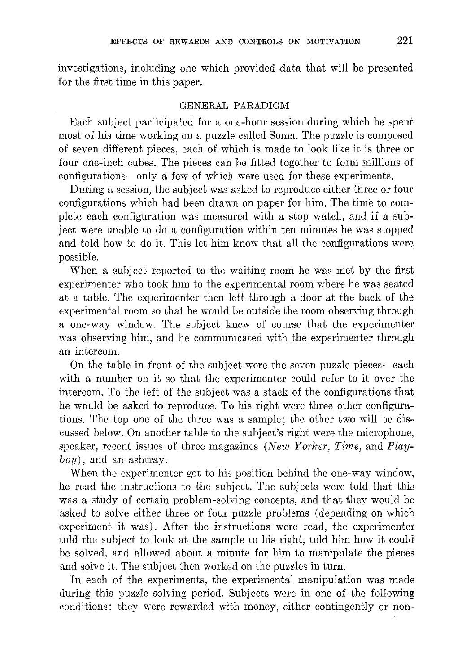investigations, including one which provided data that will be presented for the first time in this paper.

#### GENERAL PARADIGM

Each subject participated for a one-hour session during which he spent most of his time working on a puzzle called Soma. The puzzle is composed of seven different pieces, each of which is made to look like it is three or four one-inch cubes. The pieces can be fitted together to form millions of configurations--only a few of which were used for these experiments.

During a session, the subject was asked to reproduce either three or four configurations which had been drawn on paper for him. The time to complete each configuration was measured with a stop watch, and if a subject were unable to do a configuration within ten minutes he was stopped and told how to do it. This let him know that all the configurations were possible.

When a subject reported to the waiting room he was met by the first experimenter who took him to the experimental room where he was seated at a table. The experimenter then left through a door at the back of the experimental room so that he would be outside the room observing through a one-way window. The subject knew of course that the experimenter was observing him, and he communicated with the experimenter through an intercom.

On the table in front of the subject were the seven puzzle pieces--each with a number on it so that the experimenter could refer to it over the intercom. To the left of the subject was a stack of the configurations that he would be asked to reproduce. To his right were three other configurations. The top one of the three was a sample; the other two will be discussed below. On another table to the subject's right were the microphone, speaker, recent issues of three magazines *(New Yorker, Time,* and *Playboy),* and an ashtray.

When the experimenter got to his position behind the one-way window, he read the instructions to the subject. The subjects were told that this was a study of certain problem-solving concepts, and that they would be asked to solve either three or four puzzle problems (depending on which experiment it was). After the instructions were read, the experimenter told the subject to look at the sample to his right, told him how it could be solved, and allowed about a minute for him to manipulate the pieces and solve it. The subject then worked on the puzzles in turn.

In each of the experiments, the experimental manipulation was made during this puzzle-solving period. Subjects were in one of the following conditions: they were rewarded with money, either contingently or non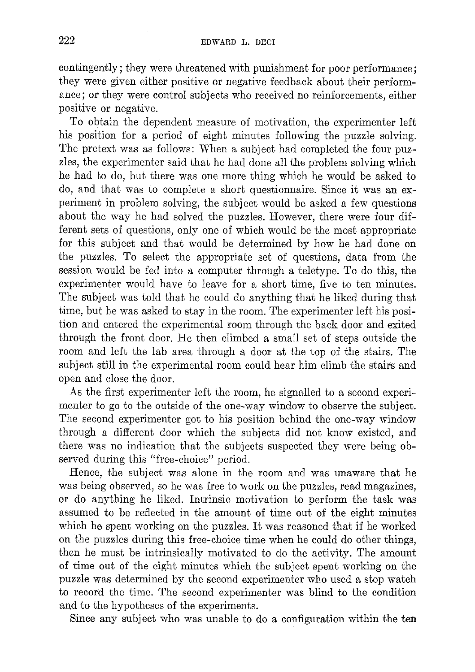contingently; they were threatened with punishment for poor performance; they were given either positive or negative feedback about their performance; or they were control subjects who received no reinforcements, either positive or negative.

To obtain the dependent measure of motivation, the experimenter left his position for a period of eight minutes following the puzzle solving. The pretext was as follows: When a subject had completed the four puzzles, the experimenter said that he had done all the problem solving which he had to do, but there was one more thing which he would be asked to do, and that was to complete a short questionnaire. Since it was an experiment in problem solving, the subject would be asked a few questions about the way he had solved the puzzles. However, there were four different sets of questions, only one of which would be the most appropriate for this subject and that would be determined by how he had done on the puzzles. To select the appropriate set of questions, data from the session would be fed into a computer through a teletype. To do this, the experimenter would have to leave for a short time, five to ten minutes. The subject was told that he could do anything that he liked during that time, but he was asked to stay in the room. The experimenter left his position and entered the experimental room through the back door and exited through the front door. He then climbed a small set of steps outside the room and left the lab area through a door at the top of the stairs. The subject still in the experimental room could hear him climb the stairs and open and close the door.

As the first experimenter left the room, he signalled to a second experimenter to go to the outside of the one-way window to observe the subject. The second experimenter got to his position behind the one-way window through a different door which the subjects did not know existed, and there was no indication that the subiects suspected they were being ohserved during this "free-choice" period.

Hence, the subject was alone in the room and was unaware that he was being observed, so he was free to work on the puzzles, read magazines, or do anything he liked. Intrinsic motivation to perform the task was assumed to be reflected in the amount of time out of the eight minutes which he spent working on the puzzles. It was reasoned that if he worked on the puzzles during this free-choice time when he could do other things, then he must be intrinsically motivated to do the activity. The amount of time out of the eight minutes which the subject spent working on the puzzle was determined by the second experimenter who used a stop watch to record the time. The second experimenter was blind to the condition and to the hypotheses of the experiments.

Since any subject who was unable to do a configuration within the ten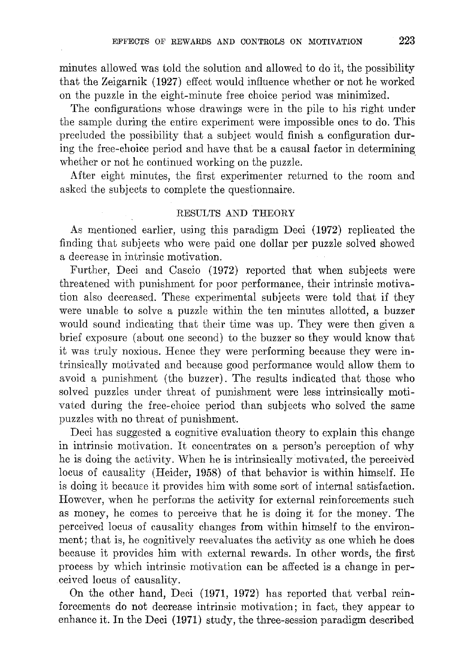minutes allowed was told the solution and allowed to do it, the possibility that the Zeigarnik (1927) effect would influence whether or not he worked on the puzzle in the eight-minute free choice period was minimized.

The configurations whose drawings were in the pile to his right under the sample during the entire experiment were impossible ones to do. This precluded the possibility that a subject would finish a configuration during the free-choice period and have that be a causal factor in determining whether or not he continued working on the puzzle.

After eight minutes, the first experimenter returned to the room and asked the subjects to complete the questionnaire.

### RESULTS AND THEORY

As mentioned earlier, using this paradigm Deci (1972) replicated the finding that subjects who were paid one dollar per puzzle solved showed a decrease in intrinsic motivation.

Further, Deci and Caseio (1972) reported that when subjects were threatened with punishment for poor performance, their intrinsic motivation also decreased. These experimental subjects were told that if they were unable to solve a puzzle within the ten minutes allotted, a buzzer would sound indicating that their time was up. They were then given a brief exposure (about one second) to the buzzer so they would know that it was truly noxious. Hence they were performing because they were intrinsically motivated and because good performance would allow them to avoid a punishment (the buzzer). The results indicated that those who solved puzzles under threat of punishment were less intrinsically motirated during the free-choice period than subjects who solved the same puzzles with no threat of punishment.

Deci has suggested a cognitive evaluation theory to explain this change in intrinsic motivation. It concentrates on a person's perception of why he is doing the activity. When he is intrinsically motivated, the perceived locus of causality (Heider, 1958) of that behavior is within himself. He is doing it because it provides him with some sort of internal satisfaction. However, when he performs the activity for external reinforcements such as money, he comes to perceive that he is doing it for the money. The perceived locus of causality changes from within himself to the environment; that is, he cognitively reevaluates the activity as one which he does because it provides him with external rewards. In other words, the first process by which intrinsic motivation can be affected is a change in perceived locus of causality.

On the other hand, Deei (1971, 1972) has reported that verbal reinforcements do not decrease intrinsic motivation; in fact, they appear to enhance it. In the Deci (1971) study, the three-session paradigm described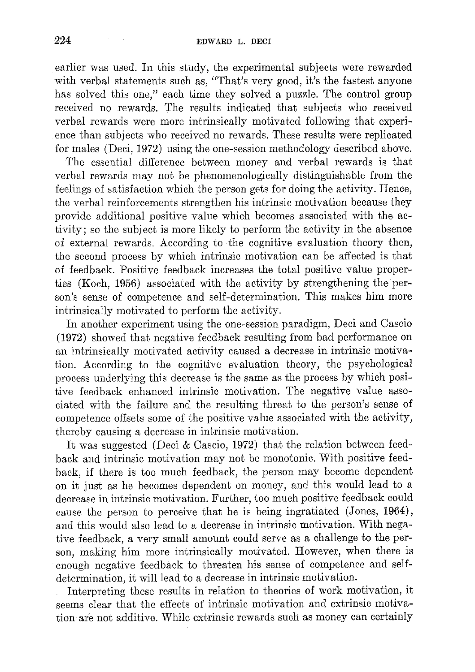earlier was used. In this study, the experimental subjects were rewarded with verbal statements such as, "That's very good, it's the fastest anyone has solved this one," each time they solved a puzzle. The control group received no rewards. The results indicated that subjects who received verbal rewards were more intrinsically motivated following that experience than subjects who received no rewards. These results were replicated for males (Deci, *1972)* using the one-session methodology described above.

The essential difference between money and verbal rewards is that verbal rewards may not be phenomenologically distinguishable from the feelings of satisfaction which the person gets for doing the activity. Hence, the verbal reinforcements strengthen his intrinsic motivation because they provide additional positive value which becomes associated with the activity; so the subiect is more likely to perform the activity in the absence of external rewards. According to the cognitive evaluation theory then, the second process by which intrinsic motivation can be affected is that of feedback. Positive feedback increases the total positive value properties (Koch, 1956) associated with the activity by strengthening the person's sense of competence and self-determination. This makes him more intrinsically motivated to perform the activity.

In another experiment using the one-session paradigm, Deci and Cascio (1972) showed that negative feedback resulting from bad performance on an intrinsically motivated activity caused a decrease in intrinsic motivation. According to the cognitive evaluation theory, the psychological process underlying this decrease is the same as the process by which positive feedback enhanced intrinsic motivation. The negative value associated with the failure and the resulting threat to the person's sense of competence offsets some of the positive value associated with the activity, thereby causing a decrease in intrinsic motivation.

It was suggested (Deci & Cascio, 1972) that the relation between feedback and intrinsic motivation may not be monotonic. With positive feedback, if there is too much feedback, the person may become dependent on it just as he becomes dependent on money, and this would lead to a decrease in intrinsic motivation. Further, too much positive feedback could cause the person to perceive that he is being ingratiated (Jones, 1964), and this would also lead to a decrease in intrinsic motivation. With negative feedback, a very small amount could serve as a challenge to the person, making him more intrinsically motivated. However, when there is enough negative feedback to threaten his sense of competence and selfdetermination, it will lead to a decrease in intrinsic motivation.

Interpreting these results in relation to theories of work motivation, it seems clear that the effects of intrinsic motivation and extrinsic motivation are not additive. While extrinsic rewards such as money can certainly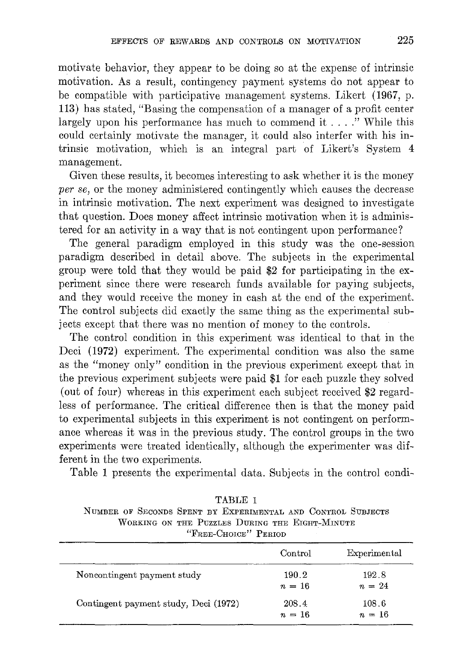motivate behavior, they appear to be doing so at the expense of intrinsic motivation. As a result, contingency payment systems do not appear to be compatible with participative management systems. Likert (1967, p. 113) has stated, "Basing the compensation of a manager of a profit center largely upon his performance has much to commend it  $\dots$ ." While this could certainly motivate the manager, it could also interfer with his intrinsic motivation, which is an integral part of Likert's System 4 management.

Given these results, it becomes interesting to ask whether it is the money *per se,* or the money administered contingently which causes the decrease in intrinsic motivation. The next experiment was designed to investigate that question. Does money affect intrinsic motivation when it is administered for an activity in a way that is not contingent upon performance?

The general paradigm employed in this study was the one-session paradigm described in detail above. The subjects in the experimental group were told that they would be paid \$2 for participating in the experiment since there were research funds available for paying subjects, and they would receive the money in cash at the end of the experiment. The control subjects did exactly the same thing as the experimental subieets except that there was no mention of money to the controls.

The control condition in this experiment was identical to that in the Deei (1972) experiment. The experimental condition was also the same as the "money only" condition in the previous experiment except that in the previous experiment subjects were paid \$1 for each puzzle they solved (out of four) whereas in this experiment each subject received \$2 regardless of performance. The critical difference then is that the money paid to experimental subjects in this experiment is not contingent on performanee whereas it was in the previous study. The control groups in the two experiments were treated identically, although the experimenter was different in the two experiments.

Table 1 presents the experimental data. Subieets in the control eondi-

TABLE 1 NUMBER OF SECONDS SPENT BY EXPERIMENTAL AND CONTROL SUBJECTS WORKING ON THE PUZZLES DURING THE EIGHT-MINUTE "FREE-CHOICE" PERIOD

|                                       | Control           | Experimental      |
|---------------------------------------|-------------------|-------------------|
| Noncontingent payment study           | 190.2<br>$n = 16$ | 192.8<br>$n = 24$ |
| Contingent payment study, Deci (1972) | 208.4<br>$n=16$   | 108.6<br>$n = 16$ |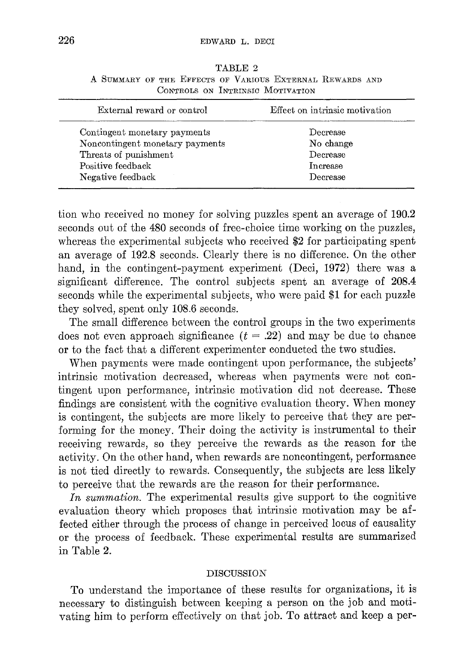| External reward or control      | Effect on intrinsic motivation<br>Decrease |  |
|---------------------------------|--------------------------------------------|--|
| Contingent monetary payments    |                                            |  |
| Noncontingent monetary payments | No change                                  |  |
| Threats of punishment           | Decrease                                   |  |
| Positive feedback               | Increase                                   |  |
| Negative feedback               | Decrease                                   |  |

TABLE **<sup>2</sup>** A SUMMARY OF THE EFFECTS OF VARIOUS EXTERNAL REWARDS AND CONTROLS ON INTRINSIC MOTIVATION

tion who received no money for solving puzzles spent an average of 190.2 seconds out of the 480 seconds of free-choice time working on the puzzles, whereas the experimental subjects who received \$2 for participating spent an average of 192.8 seconds. Clearly there is no difference. On the other hand, in the contingent-payment experiment (Deci, 1972) there was a significant difference. The control subjects spent an average of 208.4 seconds while the experimental subjects, who were paid \$1 for each puzzle they solved, spent only 108.6 seconds.

The small difference between the control groups in the two experiments does not even approach significance  $(t = .22)$  and may be due to chance or to the fact that a different experimenter conducted the two studies.

When payments were made contingent upon performance, the subjects' intrinsic motivation decreased, whereas when payments were not contingent upon performance, intrinsic motivation did not decrease. These findings are consistent with the cognitive evaluation theory. When money is contingent, the subjects are more likely to perceive that they are performing for the money. Their doing the activity is instrumental to their receiving rewards, so they perceive the rewards as the reason for the activity. On the other hand, when rewards are noncontingent, performance is not tied directly to rewards. Consequently, the subjects are less likely to perceive that the rewards are the reason for their performance.

*In summation.* The experimental results give support to the cognitive evaluation theory which proposes that intrinsic motivation may be affected either through the process of change in perceived locus of causality or the process of feedback. These experimental results are summarized in Table 2.

#### **DISCUSSION**

To understand the importance of these results for organizations, it is necessary to distinguish between keeping a person on the job and motivating him to perform effectively on that job. To attract and keep a per-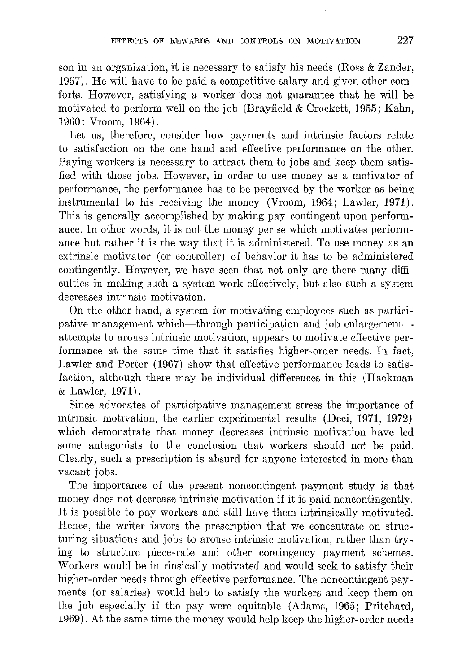son in an organization, it is necessary to satisfy his needs (Ross & Zander, 1957). He will have to be paid a competitive salary and given other comforts. However, satisfying a worker does not guarantee that he will be motivated to perform well on the job (Brayfield & Crockett, 1955; Kahn, 1960; Vroom, 1964).

Let us, therefore, consider how payments and intrinsic factors relate to satisfaction on the one hand and effective performance on the other. Paying workers is necessary to attract them to jobs and keep them satisfied with those jobs. However, in order to use money as a motivator of performance, the performance has to be perceived by the worker as being instrumental to his receiving the money (Vroom, 1964; Lawler, 1971). This is generally accomplished by making pay contingent upon performance. In other words, it is not the money per se which motivates performance but rather it is the way that it is administered. To use money as an extrinsic motivator (or controller) of behavior it has to be administered contingently. However, we have seen that not only are there many difficulties in making such a system work effectively, but also such a system decreases intrinsic motivation.

On the other hand, a system for motivating employees such as participative management which--through participation and job enlargement- attempts to arouse intrinsic motivation, appears to motivate effective performance at the same time that it satisfies higher-order needs. In fact, Lawler and Porter (1967) show that effective performance leads to satisfaction, although there may be individual differences in this (Hackman & Lawler, 1971).

Since advocates of participative management stress the importance of intrinsic motivation, the earlier experimental results (Deci, 1971, 1972) which demonstrate that money decreases intrinsic motivation have led some antagonists to the conclusion that workers should not be paid. Clearly, such a prescription is absurd for anyone interested in more than vacant jobs.

The importance of the present noncontingent payment study is that money does not decrease intrinsic motivation if it is paid noncontingently. It is possible to pay workers and still have them intrinsically motivated. Hence, the writer favors the prescription that we concentrate on structuring situations and jobs to arouse intrinsic motivation, rather than trying to structure piece-rate and other contingency payment schemes. Workers would be intrinsically motivated and would seek to satisfy their higher-order needs through effective performance. The noncontingent payments (or salaries) would help to satisfy the workers and keep them on the job especially if the pay were equitable (Adams, 1965; Pritchard, 1969). At the same time the money would help keep the higher-order needs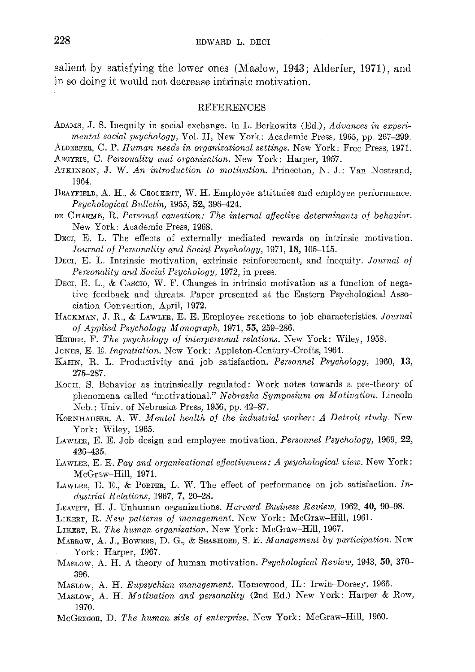salient by satisfying the lower ones (Maslow, 1943; Alderfer, 1971), and in so doing it would not decrease intrinsic motivation.

#### REFERENCES

- ADAMS, J. S. Inequity in social exchange. In L. Berkowitz (Ed.), *Advances in experimental social psychology,* Vol. II, New York: Academic Press, 1955, pp. 267-299.
- ALDERFER, C. P. *Human needs in organizational settings.* New York: Free Press, 1971. ARGYRIS, C. *Personality and organization.* New York: Harper, 1957.
- ATKINSON, J. W. An introduction to motivation. Princeton, N. J.: Van Nostrand, 1964.
- BRAYFIELD, A. H., & CROCKETT, W. H. Employee attitudes and employee performance. *Psychological Bulletin,* 1955, 52, 396-424.
- DE CHARMS, R. *Personal causation: The internal affective determinants of behavior.* New York: Academic Press, 1958.
- DECI, E. L. The effects of externally mediated rewards on intrinsic motivation. *Journal o] Personality and Social Psychology,* 1971, 18, 105-115.
- Decr, E. L. Intrinsic motivation, extrinsic reinforcement, and inequity. *Journal of Personality and Social Psychology,* 1972, in press.
- DECI, E. L., & Cascio, W. F. Changes in intrinsic motivation as a function of negative feedback and threats. Paper presented at the Eastern Psychological Association Convention, April, *1972.*
- ~ACKMAN, J. R., (~ LAWLER, E. E. Employee reactions to job characteristics. *Journal o] Applied Psychology Monograph,* 1971, 55, 259-286.
- HEIDER, F. The psychology of interpersonal relations. New York: Wiley, 1958.
- JONES, E. E. *Ingratiation.* New York: Appleton-Century-Crofts, 1964.
- KAHN, R. L. Productivity and job satisfaction. *Personnel Psychology*, 1960, 13, 275-287.
- Kocg, S. Behavior as intrinsically regulated: Work notes towards a pre-theory of phenomena called "motivational." *Nebraska Symposium on Motivation.* Lincoln Neb. : Univ. of Nebraska Press, 1956, pp. *42-87.*
- KORNHAUSER, A. W. *Mental health of the industrial worker: A Detroit study*. New York: Wiley, 1965.
- LAWLER, E. E. Job design and employee motivation. *Personnel Psychology,* 1969, 22, *426-435.*
- LAWLER, E. E. Pay and organizational effectiveness: A psychological view. New York: McGraw-Hill, 1971.
- LAWLER, E. E., & PORTER, L. W. The effect of performance on job satisfaction. *Industrial Relations,* 1967, 7, 20-28.
- LEAVITT, H. J. Unhuman organizations. *Harvard Business Review*, 1962, 40, 90–98.
- LIKERT, R. *New patterns of management*. New York: McGraw-Hill, 1961.
- LIKERT, R. *The human organization.* New York: McGraw-Hilt, 1967.
- MARROW, A. J., BOWERS, D. G., & SEASHORE, S. E. *Management by participation*. New York: Harper, 1967.
- MASLOW, A. H. A theory of human motivation. *Psychological Review*, 1943, 50, 370-396.
- MasLow, A. H. *Eupsychian management*. Homewood, IL: Irwin-Dorsey, 1965.
- MASLOW, A. H. *Motivation and personality* (2nd Ed.) New York: Harper & Row, 1970.
- McGREGOR, D. *The human side of enterprise*. New York: McGraw-Hill, 1960.